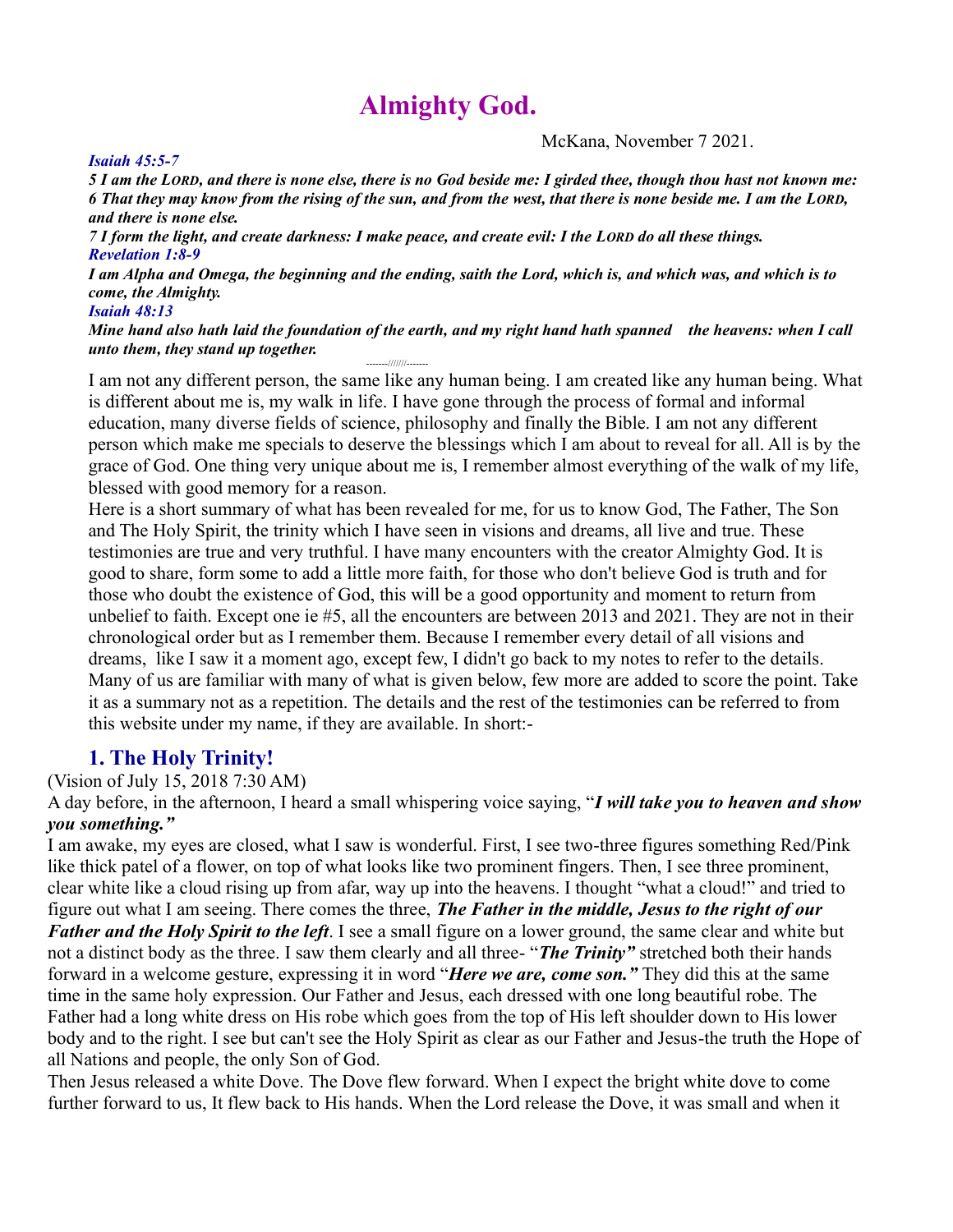# **Almighty God.**

McKana, November 7 2021.

*5 I am the LORD, and there is none else, there is no God beside me: I girded thee, though thou hast not known me: 6 That they may know from the rising of the sun, and from the west, that there is none beside me. I am the LORD, and there is none else.*

*7 I form the light, and create darkness: I make peace, and create evil: I the LORD do all these things. Revelation 1:8-9*

*I am Alpha and Omega, the beginning and the ending, saith the Lord, which is, and which was, and which is to come, the Almighty.*

#### *Isaiah 48:13*

*Mine hand also hath laid the foundation of the earth, and my right hand hath spanned the heavens: when I call*  **unto them, they stand up together.** 

I am not any different person, the same like any human being. I am created like any human being. What is different about me is, my walk in life. I have gone through the process of formal and informal education, many diverse fields of science, philosophy and finally the Bible. I am not any different person which make me specials to deserve the blessings which I am about to reveal for all. All is by the grace of God. One thing very unique about me is, I remember almost everything of the walk of my life, blessed with good memory for a reason.

Here is a short summary of what has been revealed for me, for us to know God, The Father, The Son and The Holy Spirit, the trinity which I have seen in visions and dreams, all live and true. These testimonies are true and very truthful. I have many encounters with the creator Almighty God. It is good to share, form some to add a little more faith, for those who don't believe God is truth and for those who doubt the existence of God, this will be a good opportunity and moment to return from unbelief to faith. Except one ie #5, all the encounters are between 2013 and 2021. They are not in their chronological order but as I remember them. Because I remember every detail of all visions and dreams, like I saw it a moment ago, except few, I didn't go back to my notes to refer to the details. Many of us are familiar with many of what is given below, few more are added to score the point. Take it as a summary not as a repetition. The details and the rest of the testimonies can be referred to from this website under my name, if they are available. In short:-

#### **1. The Holy Trinity!**

(Vision of July 15, 2018 7:30 AM)

A day before, in the afternoon, I heard a small whispering voice saying, "*I will take you to heaven and show you something."*

I am awake, my eyes are closed, what I saw is wonderful. First, I see two-three figures something Red/Pink like thick patel of a flower, on top of what looks like two prominent fingers. Then, I see three prominent, clear white like a cloud rising up from afar, way up into the heavens. I thought "what a cloud!" and tried to figure out what I am seeing. There comes the three, *The Father in the middle, Jesus to the right of our Father and the Holy Spirit to the left*. I see a small figure on a lower ground, the same clear and white but not a distinct body as the three. I saw them clearly and all three- "*The Trinity"* stretched both their hands forward in a welcome gesture, expressing it in word "*Here we are, come son."* They did this at the same time in the same holy expression. Our Father and Jesus, each dressed with one long beautiful robe. The Father had a long white dress on His robe which goes from the top of His left shoulder down to His lower body and to the right. I see but can't see the Holy Spirit as clear as our Father and Jesus-the truth the Hope of all Nations and people, the only Son of God.

Then Jesus released a white Dove. The Dove flew forward. When I expect the bright white dove to come further forward to us, It flew back to His hands. When the Lord release the Dove, it was small and when it

#### *Isaiah 45:5-7*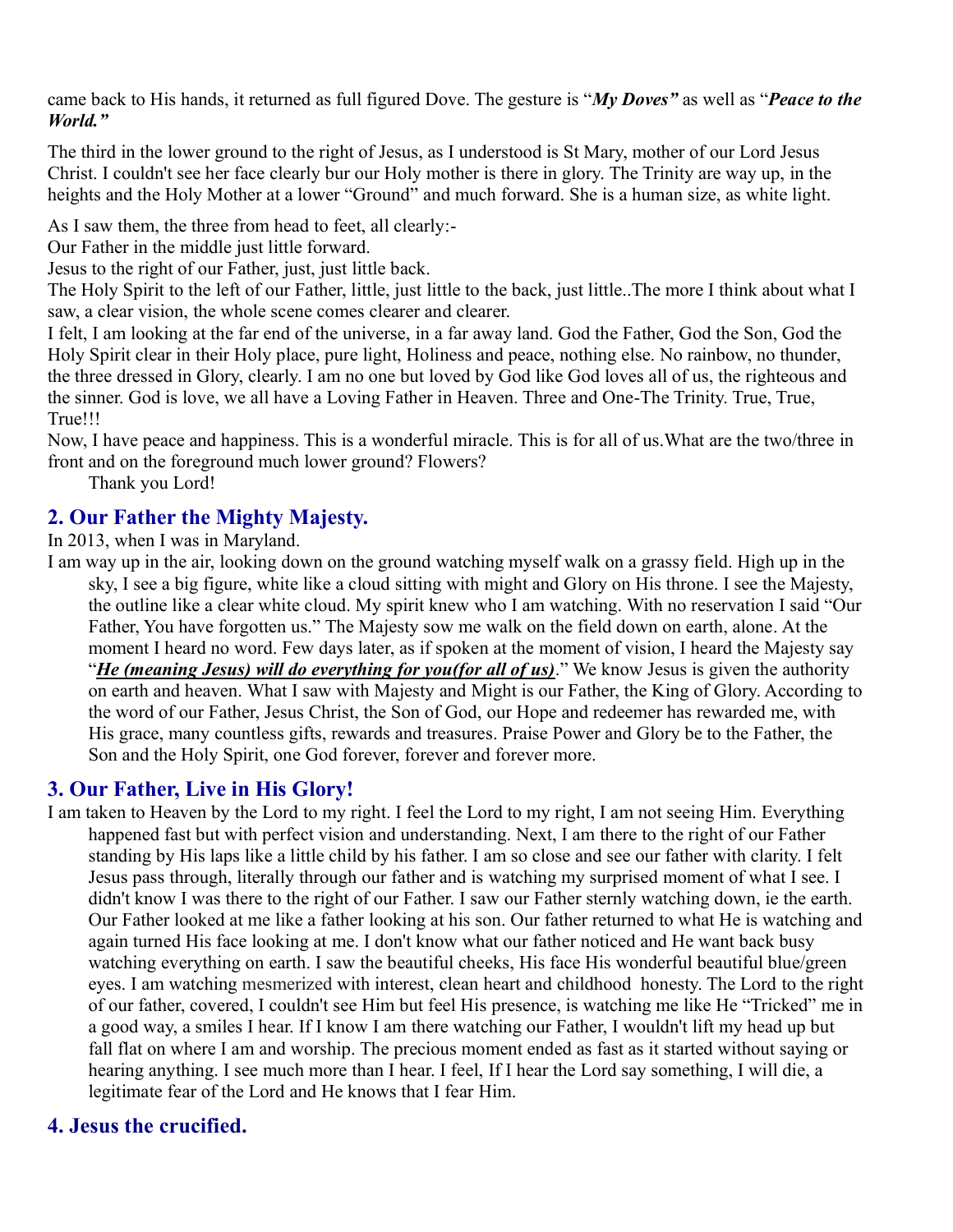came back to His hands, it returned as full figured Dove. The gesture is "*My Doves"* as well as "*Peace to the World."*

The third in the lower ground to the right of Jesus, as I understood is St Mary, mother of our Lord Jesus Christ. I couldn't see her face clearly bur our Holy mother is there in glory. The Trinity are way up, in the heights and the Holy Mother at a lower "Ground" and much forward. She is a human size, as white light.

As I saw them, the three from head to feet, all clearly:-

Our Father in the middle just little forward.

Jesus to the right of our Father, just, just little back.

The Holy Spirit to the left of our Father, little, just little to the back, just little..The more I think about what I saw, a clear vision, the whole scene comes clearer and clearer.

I felt, I am looking at the far end of the universe, in a far away land. God the Father, God the Son, God the Holy Spirit clear in their Holy place, pure light, Holiness and peace, nothing else. No rainbow, no thunder, the three dressed in Glory, clearly. I am no one but loved by God like God loves all of us, the righteous and the sinner. God is love, we all have a Loving Father in Heaven. Three and One-The Trinity. True, True, True!!!

Now, I have peace and happiness. This is a wonderful miracle. This is for all of us.What are the two/three in front and on the foreground much lower ground? Flowers?

Thank you Lord!

# **2. Our Father the Mighty Majesty.**

In 2013, when I was in Maryland.

I am way up in the air, looking down on the ground watching myself walk on a grassy field. High up in the sky, I see a big figure, white like a cloud sitting with might and Glory on His throne. I see the Majesty, the outline like a clear white cloud. My spirit knew who I am watching. With no reservation I said "Our Father, You have forgotten us." The Majesty sow me walk on the field down on earth, alone. At the moment I heard no word. Few days later, as if spoken at the moment of vision, I heard the Majesty say "*He (meaning Jesus) will do everything for you(for all of us)*." We know Jesus is given the authority on earth and heaven. What I saw with Majesty and Might is our Father, the King of Glory. According to the word of our Father, Jesus Christ, the Son of God, our Hope and redeemer has rewarded me, with His grace, many countless gifts, rewards and treasures. Praise Power and Glory be to the Father, the Son and the Holy Spirit, one God forever, forever and forever more.

### **3. Our Father, Live in His Glory!**

I am taken to Heaven by the Lord to my right. I feel the Lord to my right, I am not seeing Him. Everything happened fast but with perfect vision and understanding. Next, I am there to the right of our Father standing by His laps like a little child by his father. I am so close and see our father with clarity. I felt Jesus pass through, literally through our father and is watching my surprised moment of what I see. I didn't know I was there to the right of our Father. I saw our Father sternly watching down, ie the earth. Our Father looked at me like a father looking at his son. Our father returned to what He is watching and again turned His face looking at me. I don't know what our father noticed and He want back busy watching everything on earth. I saw the beautiful cheeks, His face His wonderful beautiful blue/green eyes. I am watching mesmerized with interest, clean heart and childhood honesty. The Lord to the right of our father, covered, I couldn't see Him but feel His presence, is watching me like He "Tricked" me in a good way, a smiles I hear. If I know I am there watching our Father, I wouldn't lift my head up but fall flat on where I am and worship. The precious moment ended as fast as it started without saying or hearing anything. I see much more than I hear. I feel, If I hear the Lord say something, I will die, a legitimate fear of the Lord and He knows that I fear Him.

# **4. Jesus the crucified.**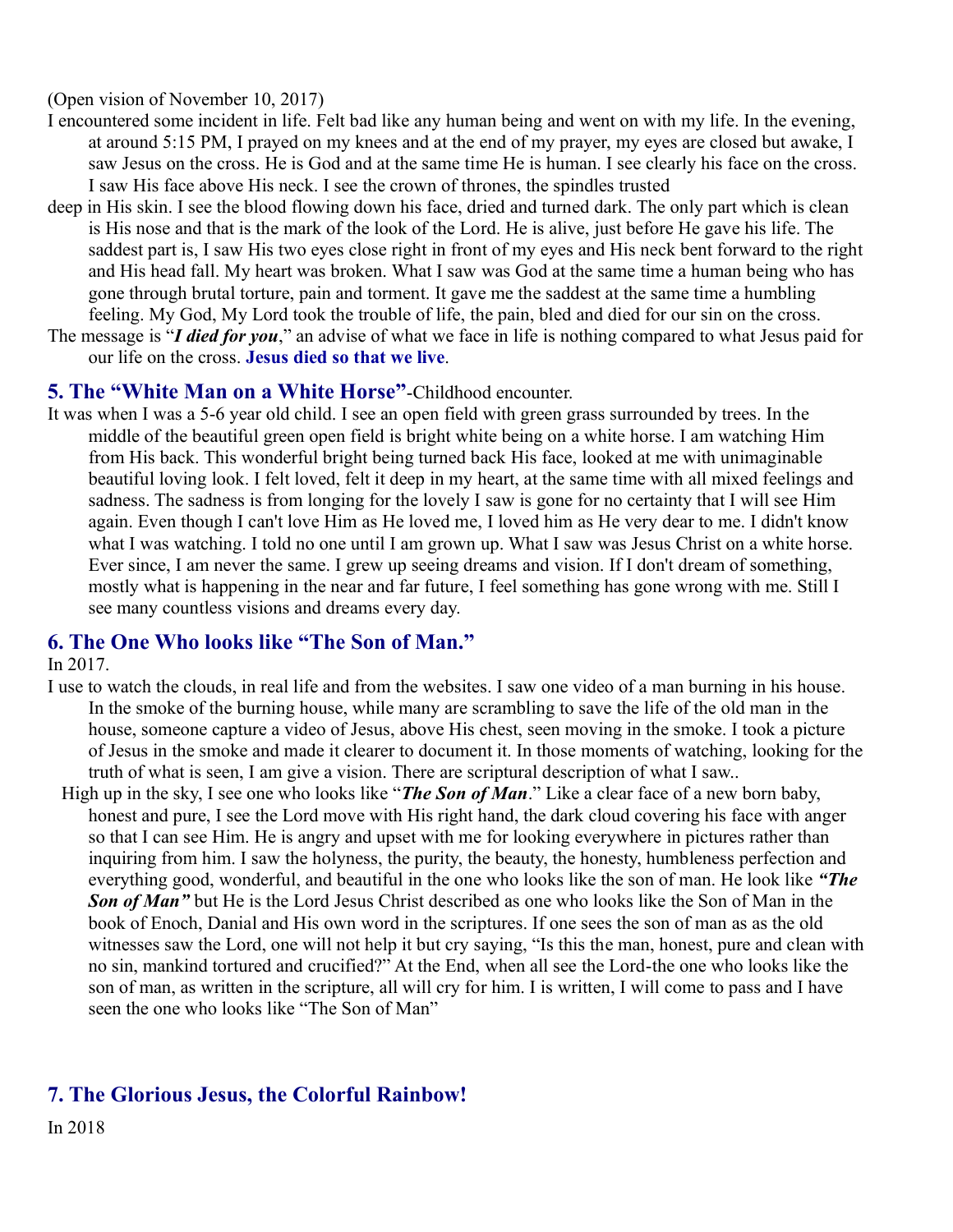(Open vision of November 10, 2017)

- I encountered some incident in life. Felt bad like any human being and went on with my life. In the evening, at around 5:15 PM, I prayed on my knees and at the end of my prayer, my eyes are closed but awake, I saw Jesus on the cross. He is God and at the same time He is human. I see clearly his face on the cross. I saw His face above His neck. I see the crown of thrones, the spindles trusted
- deep in His skin. I see the blood flowing down his face, dried and turned dark. The only part which is clean is His nose and that is the mark of the look of the Lord. He is alive, just before He gave his life. The saddest part is, I saw His two eyes close right in front of my eyes and His neck bent forward to the right and His head fall. My heart was broken. What I saw was God at the same time a human being who has gone through brutal torture, pain and torment. It gave me the saddest at the same time a humbling feeling. My God, My Lord took the trouble of life, the pain, bled and died for our sin on the cross.
- The message is "*I died for you*," an advise of what we face in life is nothing compared to what Jesus paid for our life on the cross. **Jesus died so that we live**.

#### **5. The "White Man on a White Horse"**-Childhood encounter.

It was when I was a 5-6 year old child. I see an open field with green grass surrounded by trees. In the middle of the beautiful green open field is bright white being on a white horse. I am watching Him from His back. This wonderful bright being turned back His face, looked at me with unimaginable beautiful loving look. I felt loved, felt it deep in my heart, at the same time with all mixed feelings and sadness. The sadness is from longing for the lovely I saw is gone for no certainty that I will see Him again. Even though I can't love Him as He loved me, I loved him as He very dear to me. I didn't know what I was watching. I told no one until I am grown up. What I saw was Jesus Christ on a white horse. Ever since, I am never the same. I grew up seeing dreams and vision. If I don't dream of something, mostly what is happening in the near and far future, I feel something has gone wrong with me. Still I see many countless visions and dreams every day.

#### **6. The One Who looks like "The Son of Man."**

In 2017.

- I use to watch the clouds, in real life and from the websites. I saw one video of a man burning in his house. In the smoke of the burning house, while many are scrambling to save the life of the old man in the house, someone capture a video of Jesus, above His chest, seen moving in the smoke. I took a picture of Jesus in the smoke and made it clearer to document it. In those moments of watching, looking for the truth of what is seen, I am give a vision. There are scriptural description of what I saw..
- High up in the sky, I see one who looks like "*The Son of Man*." Like a clear face of a new born baby, honest and pure, I see the Lord move with His right hand, the dark cloud covering his face with anger so that I can see Him. He is angry and upset with me for looking everywhere in pictures rather than inquiring from him. I saw the holyness, the purity, the beauty, the honesty, humbleness perfection and everything good, wonderful, and beautiful in the one who looks like the son of man. He look like *"The Son of Man"* but He is the Lord Jesus Christ described as one who looks like the Son of Man in the book of Enoch, Danial and His own word in the scriptures. If one sees the son of man as as the old witnesses saw the Lord, one will not help it but cry saying, "Is this the man, honest, pure and clean with no sin, mankind tortured and crucified?" At the End, when all see the Lord-the one who looks like the son of man, as written in the scripture, all will cry for him. I is written, I will come to pass and I have seen the one who looks like "The Son of Man"

### **7. The Glorious Jesus, the Colorful Rainbow!**

In 2018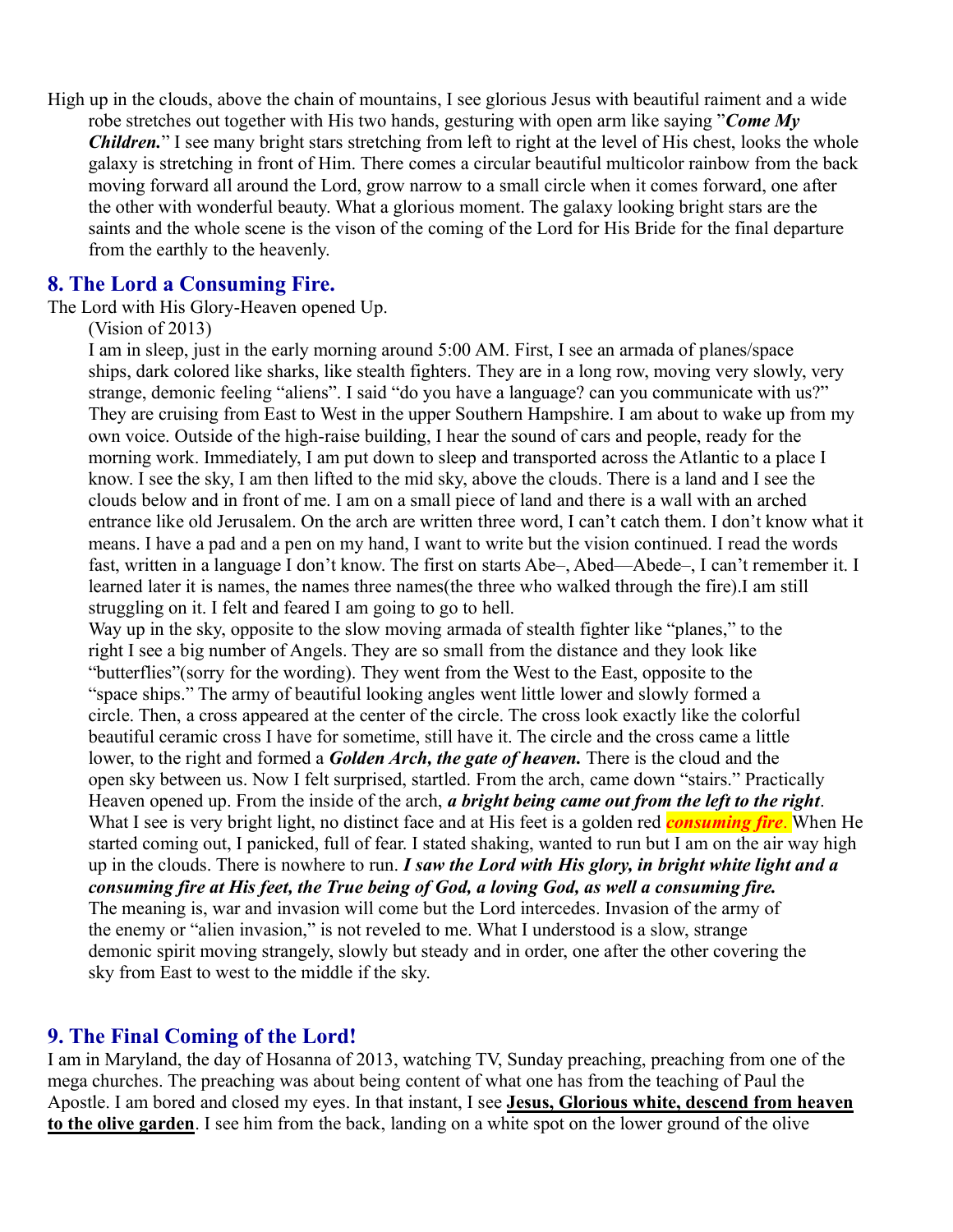High up in the clouds, above the chain of mountains, I see glorious Jesus with beautiful raiment and a wide robe stretches out together with His two hands, gesturing with open arm like saying "*Come My Children.*" I see many bright stars stretching from left to right at the level of His chest, looks the whole galaxy is stretching in front of Him. There comes a circular beautiful multicolor rainbow from the back moving forward all around the Lord, grow narrow to a small circle when it comes forward, one after the other with wonderful beauty. What a glorious moment. The galaxy looking bright stars are the saints and the whole scene is the vison of the coming of the Lord for His Bride for the final departure from the earthly to the heavenly.

#### **8. The Lord a Consuming Fire.**

The Lord with His Glory-Heaven opened Up.

(Vision of 2013)

I am in sleep, just in the early morning around 5:00 AM. First, I see an armada of planes/space ships, dark colored like sharks, like stealth fighters. They are in a long row, moving very slowly, very strange, demonic feeling "aliens". I said "do you have a language? can you communicate with us?" They are cruising from East to West in the upper Southern Hampshire. I am about to wake up from my own voice. Outside of the high-raise building, I hear the sound of cars and people, ready for the morning work. Immediately, I am put down to sleep and transported across the Atlantic to a place I know. I see the sky, I am then lifted to the mid sky, above the clouds. There is a land and I see the clouds below and in front of me. I am on a small piece of land and there is a wall with an arched entrance like old Jerusalem. On the arch are written three word, I can't catch them. I don't know what it means. I have a pad and a pen on my hand, I want to write but the vision continued. I read the words fast, written in a language I don't know. The first on starts Abe–, Abed—Abede–, I can't remember it. I learned later it is names, the names three names(the three who walked through the fire).I am still struggling on it. I felt and feared I am going to go to hell.

Way up in the sky, opposite to the slow moving armada of stealth fighter like "planes," to the right I see a big number of Angels. They are so small from the distance and they look like "butterflies"(sorry for the wording). They went from the West to the East, opposite to the "space ships." The army of beautiful looking angles went little lower and slowly formed a circle. Then, a cross appeared at the center of the circle. The cross look exactly like the colorful beautiful ceramic cross I have for sometime, still have it. The circle and the cross came a little lower, to the right and formed a *Golden Arch, the gate of heaven.* There is the cloud and the open sky between us. Now I felt surprised, startled. From the arch, came down "stairs." Practically Heaven opened up. From the inside of the arch, *a bright being came out from the left to the right*. What I see is very bright light, no distinct face and at His feet is a golden red *consuming fire*. When He started coming out, I panicked, full of fear. I stated shaking, wanted to run but I am on the air way high up in the clouds. There is nowhere to run. *I saw the Lord with His glory, in bright white light and a consuming fire at His feet, the True being of God, a loving God, as well a consuming fire.* The meaning is, war and invasion will come but the Lord intercedes. Invasion of the army of the enemy or "alien invasion," is not reveled to me. What I understood is a slow, strange demonic spirit moving strangely, slowly but steady and in order, one after the other covering the

sky from East to west to the middle if the sky.

#### **9. The Final Coming of the Lord!**

I am in Maryland, the day of Hosanna of 2013, watching TV, Sunday preaching, preaching from one of the mega churches. The preaching was about being content of what one has from the teaching of Paul the Apostle. I am bored and closed my eyes. In that instant, I see **Jesus, Glorious white, descend from heaven to the olive garden**. I see him from the back, landing on a white spot on the lower ground of the olive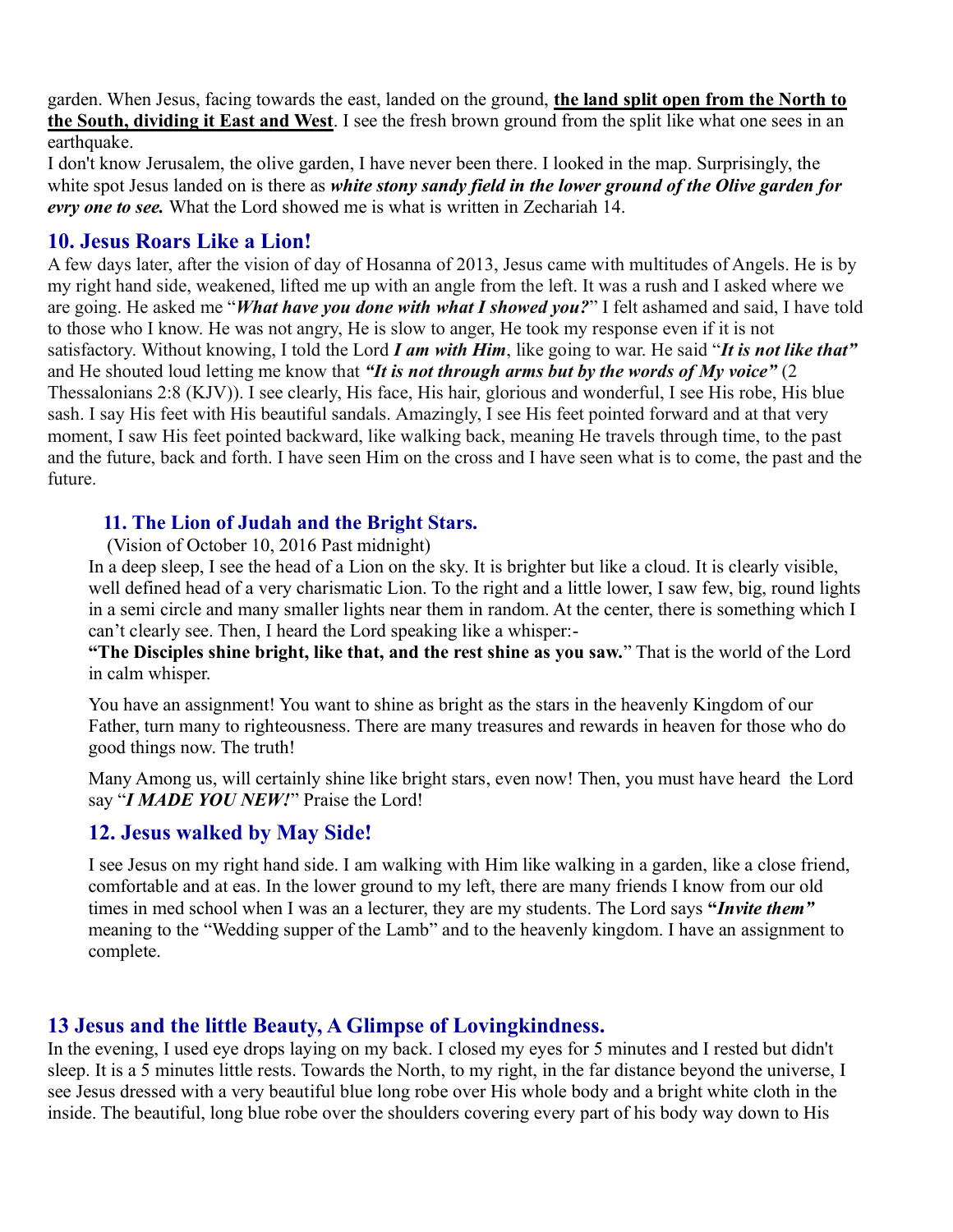garden. When Jesus, facing towards the east, landed on the ground, **the land split open from the North to the South, dividing it East and West**. I see the fresh brown ground from the split like what one sees in an earthquake.

I don't know Jerusalem, the olive garden, I have never been there. I looked in the map. Surprisingly, the white spot Jesus landed on is there as *white stony sandy field in the lower ground of the Olive garden for evry one to see.* What the Lord showed me is what is written in Zechariah 14.

#### **10. Jesus Roars Like a Lion!**

A few days later, after the vision of day of Hosanna of 2013, Jesus came with multitudes of Angels. He is by my right hand side, weakened, lifted me up with an angle from the left. It was a rush and I asked where we are going. He asked me "*What have you done with what I showed you?*" I felt ashamed and said, I have told to those who I know. He was not angry, He is slow to anger, He took my response even if it is not satisfactory. Without knowing, I told the Lord *I am with Him*, like going to war. He said "*It is not like that"*  and He shouted loud letting me know that *"It is not through arms but by the words of My voice"* (2 Thessalonians 2:8 (KJV)). I see clearly, His face, His hair, glorious and wonderful, I see His robe, His blue sash. I say His feet with His beautiful sandals. Amazingly, I see His feet pointed forward and at that very moment, I saw His feet pointed backward, like walking back, meaning He travels through time, to the past and the future, back and forth. I have seen Him on the cross and I have seen what is to come, the past and the future.

#### **11. The Lion of Judah and the Bright Stars.**

(Vision of October 10, 2016 Past midnight)

In a deep sleep, I see the head of a Lion on the sky. It is brighter but like a cloud. It is clearly visible, well defined head of a very charismatic Lion. To the right and a little lower, I saw few, big, round lights in a semi circle and many smaller lights near them in random. At the center, there is something which I can't clearly see. Then, I heard the Lord speaking like a whisper:-

**"The Disciples shine bright, like that, and the rest shine as you saw.**" That is the world of the Lord in calm whisper.

You have an assignment! You want to shine as bright as the stars in the heavenly Kingdom of our Father, turn many to righteousness. There are many treasures and rewards in heaven for those who do good things now. The truth!

Many Among us, will certainly shine like bright stars, even now! Then, you must have heard the Lord say "*I MADE YOU NEW!*" Praise the Lord!

# **12. Jesus walked by May Side!**

I see Jesus on my right hand side. I am walking with Him like walking in a garden, like a close friend, comfortable and at eas. In the lower ground to my left, there are many friends I know from our old times in med school when I was an a lecturer, they are my students. The Lord says **"***Invite them"*  meaning to the "Wedding supper of the Lamb" and to the heavenly kingdom. I have an assignment to complete.

# **13 Jesus and the little Beauty, A Glimpse of Lovingkindness.**

In the evening, I used eye drops laying on my back. I closed my eyes for 5 minutes and I rested but didn't sleep. It is a 5 minutes little rests. Towards the North, to my right, in the far distance beyond the universe, I see Jesus dressed with a very beautiful blue long robe over His whole body and a bright white cloth in the inside. The beautiful, long blue robe over the shoulders covering every part of his body way down to His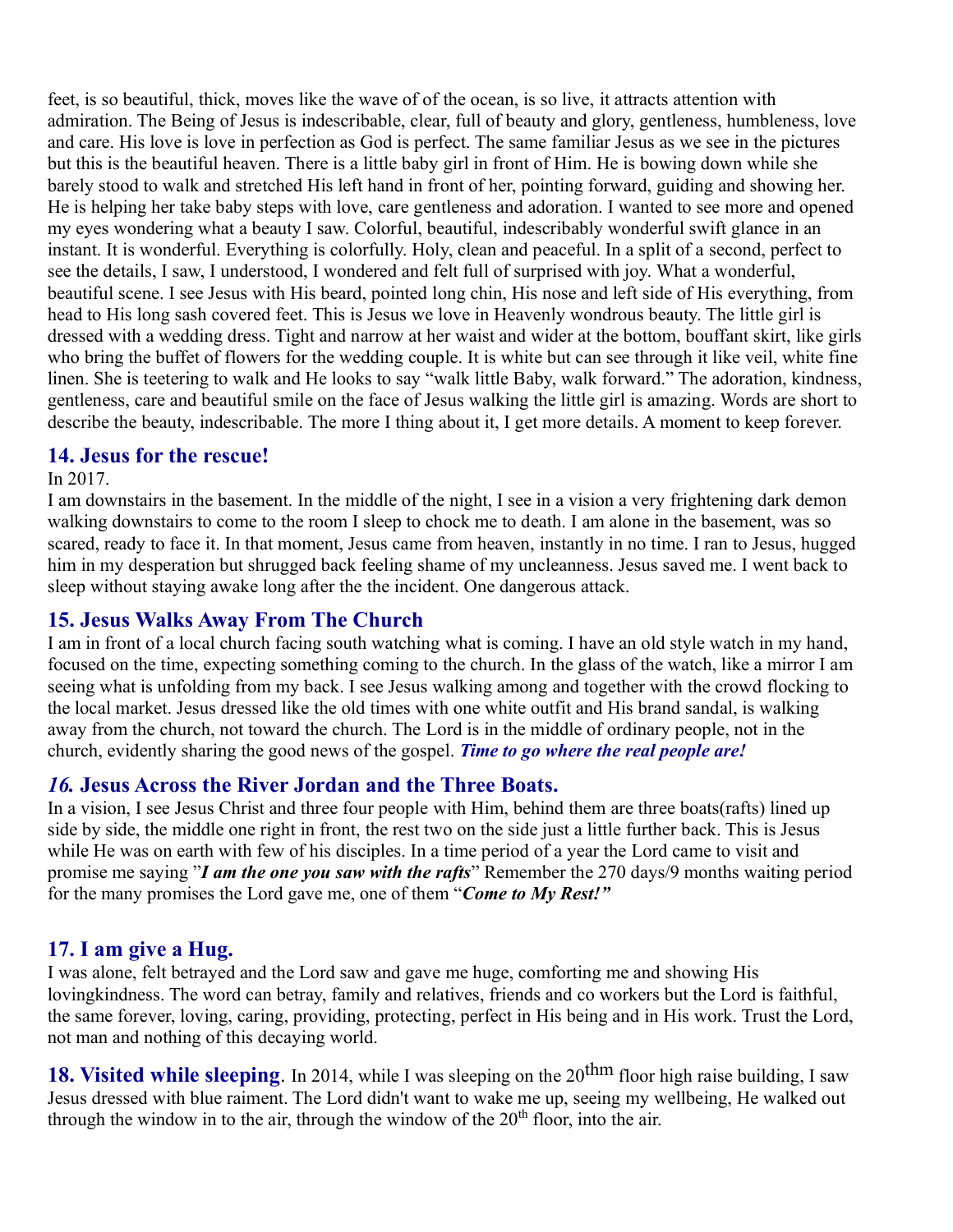feet, is so beautiful, thick, moves like the wave of of the ocean, is so live, it attracts attention with admiration. The Being of Jesus is indescribable, clear, full of beauty and glory, gentleness, humbleness, love and care. His love is love in perfection as God is perfect. The same familiar Jesus as we see in the pictures but this is the beautiful heaven. There is a little baby girl in front of Him. He is bowing down while she barely stood to walk and stretched His left hand in front of her, pointing forward, guiding and showing her. He is helping her take baby steps with love, care gentleness and adoration. I wanted to see more and opened my eyes wondering what a beauty I saw. Colorful, beautiful, indescribably wonderful swift glance in an instant. It is wonderful. Everything is colorfully. Holy, clean and peaceful. In a split of a second, perfect to see the details, I saw, I understood, I wondered and felt full of surprised with joy. What a wonderful, beautiful scene. I see Jesus with His beard, pointed long chin, His nose and left side of His everything, from head to His long sash covered feet. This is Jesus we love in Heavenly wondrous beauty. The little girl is dressed with a wedding dress. Tight and narrow at her waist and wider at the bottom, bouffant skirt, like girls who bring the buffet of flowers for the wedding couple. It is white but can see through it like veil, white fine linen. She is teetering to walk and He looks to say "walk little Baby, walk forward." The adoration, kindness, gentleness, care and beautiful smile on the face of Jesus walking the little girl is amazing. Words are short to describe the beauty, indescribable. The more I thing about it, I get more details. A moment to keep forever.

#### **14. Jesus for the rescue!**

#### In 2017.

I am downstairs in the basement. In the middle of the night, I see in a vision a very frightening dark demon walking downstairs to come to the room I sleep to chock me to death. I am alone in the basement, was so scared, ready to face it. In that moment, Jesus came from heaven, instantly in no time. I ran to Jesus, hugged him in my desperation but shrugged back feeling shame of my uncleanness. Jesus saved me. I went back to sleep without staying awake long after the the incident. One dangerous attack.

#### **15. Jesus Walks Away From The Church**

I am in front of a local church facing south watching what is coming. I have an old style watch in my hand, focused on the time, expecting something coming to the church. In the glass of the watch, like a mirror I am seeing what is unfolding from my back. I see Jesus walking among and together with the crowd flocking to the local market. Jesus dressed like the old times with one white outfit and His brand sandal, is walking away from the church, not toward the church. The Lord is in the middle of ordinary people, not in the church, evidently sharing the good news of the gospel. *Time to go where the real people are!*

#### *16.* **Jesus Across the River Jordan and the Three Boats.**

In a vision, I see Jesus Christ and three four people with Him, behind them are three boats(rafts) lined up side by side, the middle one right in front, the rest two on the side just a little further back. This is Jesus while He was on earth with few of his disciples. In a time period of a year the Lord came to visit and promise me saying "*I am the one you saw with the rafts*" Remember the 270 days/9 months waiting period for the many promises the Lord gave me, one of them "*Come to My Rest!"*

### **17. I am give a Hug.**

I was alone, felt betrayed and the Lord saw and gave me huge, comforting me and showing His lovingkindness. The word can betray, family and relatives, friends and co workers but the Lord is faithful, the same forever, loving, caring, providing, protecting, perfect in His being and in His work. Trust the Lord, not man and nothing of this decaying world.

**18. Visited while sleeping**. In 2014, while I was sleeping on the 20<sup>thm</sup> floor high raise building, I saw Jesus dressed with blue raiment. The Lord didn't want to wake me up, seeing my wellbeing, He walked out through the window in to the air, through the window of the  $20<sup>th</sup>$  floor, into the air.